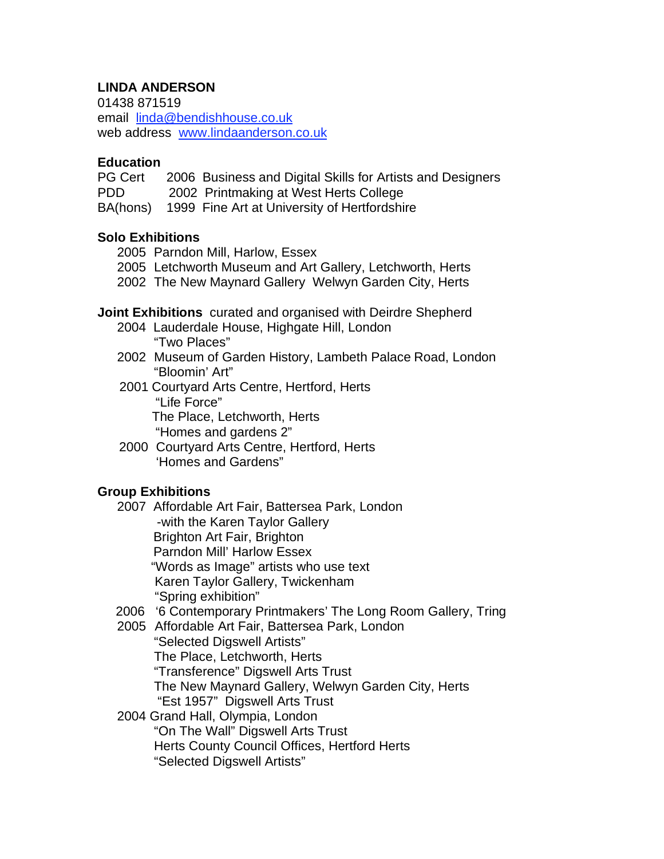## **LINDA ANDERSON**

01438 871519 email linda@bendishhouse.co.uk web address www.lindaanderson.co.uk

### **Education**

PG Cert 2006 Business and Digital Skills for Artists and Designers PDD 2002 Printmaking at West Herts College

BA(hons) 1999 Fine Art at University of Hertfordshire

## **Solo Exhibitions**

2005 Parndon Mill, Harlow, Essex

2005 Letchworth Museum and Art Gallery, Letchworth, Herts

2002 The New Maynard Gallery Welwyn Garden City, Herts

## **Joint Exhibitions** curated and organised with Deirdre Shepherd

- 2004 Lauderdale House, Highgate Hill, London "Two Places"
- 2002 Museum of Garden History, Lambeth Palace Road, London "Bloomin' Art"
- 2001 Courtyard Arts Centre, Hertford, Herts "Life Force" The Place, Letchworth, Herts

"Homes and gardens 2"

2000 Courtyard Arts Centre, Hertford, Herts 'Homes and Gardens"

# **Group Exhibitions**

- 2007 Affordable Art Fair, Battersea Park, London -with the Karen Taylor Gallery Brighton Art Fair, Brighton Parndon Mill' Harlow Essex "Words as Image" artists who use text Karen Taylor Gallery, Twickenham "Spring exhibition"
- 2006 '6 Contemporary Printmakers' The Long Room Gallery, Tring
- 2005 Affordable Art Fair, Battersea Park, London "Selected Digswell Artists" The Place, Letchworth, Herts "Transference" Digswell Arts Trust The New Maynard Gallery, Welwyn Garden City, Herts "Est 1957" Digswell Arts Trust

2004 Grand Hall, Olympia, London "On The Wall" Digswell Arts Trust Herts County Council Offices, Hertford Herts "Selected Digswell Artists"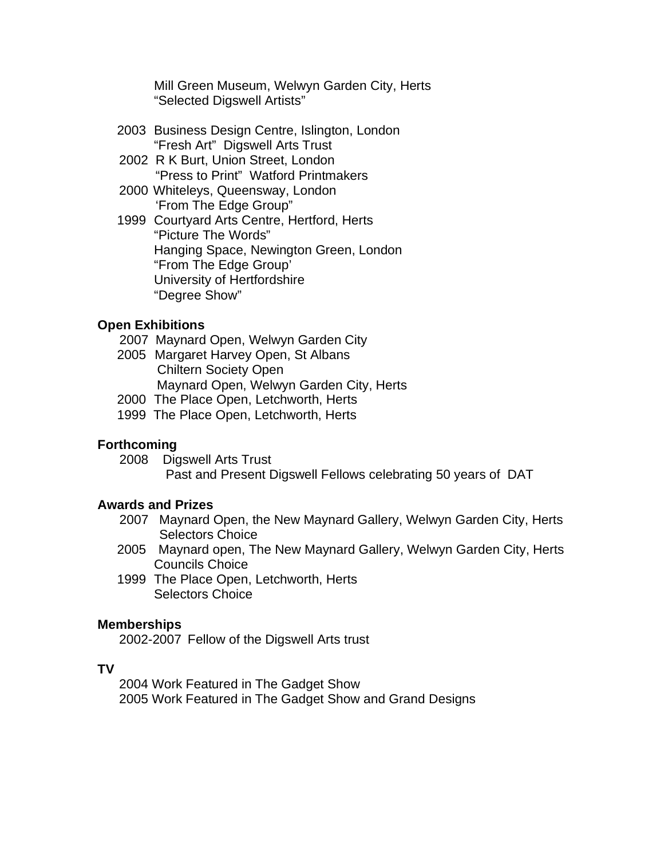Mill Green Museum, Welwyn Garden City, Herts "Selected Digswell Artists"

- 2003 Business Design Centre, Islington, London "Fresh Art" Digswell Arts Trust
- 2002 R K Burt, Union Street, London "Press to Print" Watford Printmakers
- 2000 Whiteleys, Queensway, London 'From The Edge Group"
- 1999 Courtyard Arts Centre, Hertford, Herts "Picture The Words" Hanging Space, Newington Green, London "From The Edge Group' University of Hertfordshire "Degree Show"

### **Open Exhibitions**

- 2007 Maynard Open, Welwyn Garden City
- 2005 Margaret Harvey Open, St Albans Chiltern Society Open Maynard Open, Welwyn Garden City, Herts
- 2000 The Place Open, Letchworth, Herts
- 1999 The Place Open, Letchworth, Herts

## **Forthcoming**

 2008 Digswell Arts Trust Past and Present Digswell Fellows celebrating 50 years of DAT

#### **Awards and Prizes**

- 2007 Maynard Open, the New Maynard Gallery, Welwyn Garden City, Herts Selectors Choice
- 2005 Maynard open, The New Maynard Gallery, Welwyn Garden City, Herts Councils Choice
- 1999 The Place Open, Letchworth, Herts Selectors Choice

#### **Memberships**

2002-2007 Fellow of the Digswell Arts trust

#### **TV**

2004 Work Featured in The Gadget Show 2005 Work Featured in The Gadget Show and Grand Designs